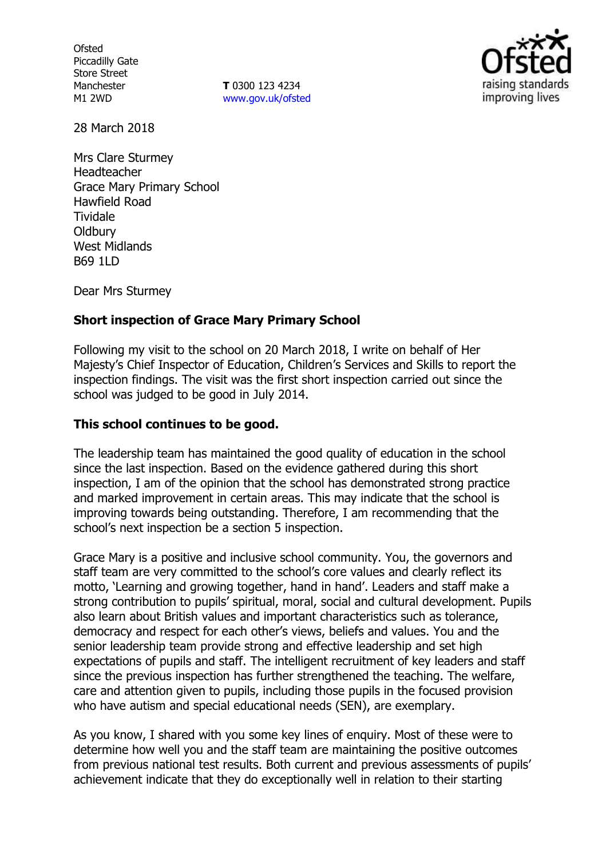**Ofsted** Piccadilly Gate Store Street Manchester M1 2WD

**T** 0300 123 4234 www.gov.uk/ofsted



28 March 2018

Mrs Clare Sturmey Headteacher Grace Mary Primary School Hawfield Road Tividale **Oldbury** West Midlands B69 1LD

Dear Mrs Sturmey

## **Short inspection of Grace Mary Primary School**

Following my visit to the school on 20 March 2018, I write on behalf of Her Majesty's Chief Inspector of Education, Children's Services and Skills to report the inspection findings. The visit was the first short inspection carried out since the school was judged to be good in July 2014.

## **This school continues to be good.**

The leadership team has maintained the good quality of education in the school since the last inspection. Based on the evidence gathered during this short inspection, I am of the opinion that the school has demonstrated strong practice and marked improvement in certain areas. This may indicate that the school is improving towards being outstanding. Therefore, I am recommending that the school's next inspection be a section 5 inspection.

Grace Mary is a positive and inclusive school community. You, the governors and staff team are very committed to the school's core values and clearly reflect its motto, 'Learning and growing together, hand in hand'. Leaders and staff make a strong contribution to pupils' spiritual, moral, social and cultural development. Pupils also learn about British values and important characteristics such as tolerance, democracy and respect for each other's views, beliefs and values. You and the senior leadership team provide strong and effective leadership and set high expectations of pupils and staff. The intelligent recruitment of key leaders and staff since the previous inspection has further strengthened the teaching. The welfare, care and attention given to pupils, including those pupils in the focused provision who have autism and special educational needs (SEN), are exemplary.

As you know, I shared with you some key lines of enquiry. Most of these were to determine how well you and the staff team are maintaining the positive outcomes from previous national test results. Both current and previous assessments of pupils' achievement indicate that they do exceptionally well in relation to their starting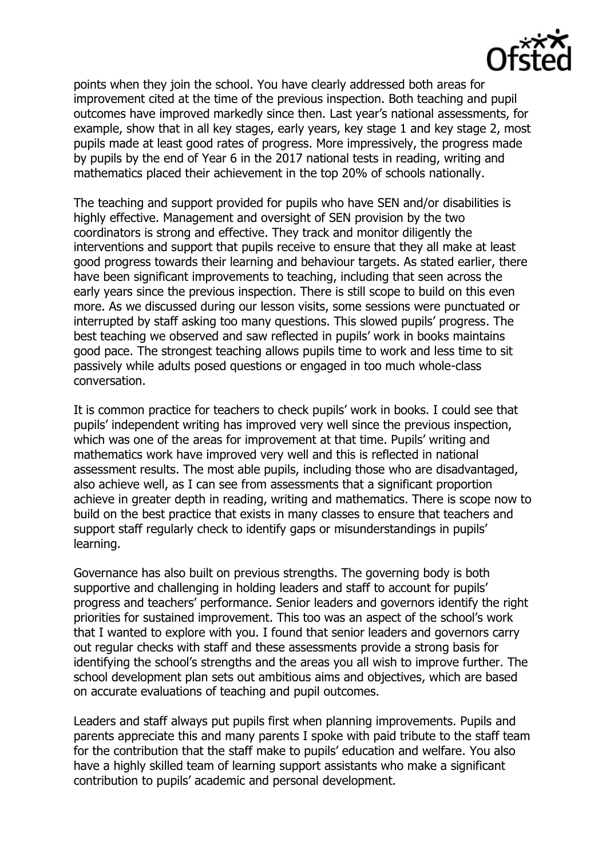points when they join the school. You have clearly addressed both areas for improvement cited at the time of the previous inspection. Both teaching and pupil outcomes have improved markedly since then. Last year's national assessments, for example, show that in all key stages, early years, key stage 1 and key stage 2, most pupils made at least good rates of progress. More impressively, the progress made by pupils by the end of Year 6 in the 2017 national tests in reading, writing and mathematics placed their achievement in the top 20% of schools nationally.

The teaching and support provided for pupils who have SEN and/or disabilities is highly effective. Management and oversight of SEN provision by the two coordinators is strong and effective. They track and monitor diligently the interventions and support that pupils receive to ensure that they all make at least good progress towards their learning and behaviour targets. As stated earlier, there have been significant improvements to teaching, including that seen across the early years since the previous inspection. There is still scope to build on this even more. As we discussed during our lesson visits, some sessions were punctuated or interrupted by staff asking too many questions. This slowed pupils' progress. The best teaching we observed and saw reflected in pupils' work in books maintains good pace. The strongest teaching allows pupils time to work and less time to sit passively while adults posed questions or engaged in too much whole-class conversation.

It is common practice for teachers to check pupils' work in books. I could see that pupils' independent writing has improved very well since the previous inspection, which was one of the areas for improvement at that time. Pupils' writing and mathematics work have improved very well and this is reflected in national assessment results. The most able pupils, including those who are disadvantaged, also achieve well, as I can see from assessments that a significant proportion achieve in greater depth in reading, writing and mathematics. There is scope now to build on the best practice that exists in many classes to ensure that teachers and support staff regularly check to identify gaps or misunderstandings in pupils' learning.

Governance has also built on previous strengths. The governing body is both supportive and challenging in holding leaders and staff to account for pupils' progress and teachers' performance. Senior leaders and governors identify the right priorities for sustained improvement. This too was an aspect of the school's work that I wanted to explore with you. I found that senior leaders and governors carry out regular checks with staff and these assessments provide a strong basis for identifying the school's strengths and the areas you all wish to improve further. The school development plan sets out ambitious aims and objectives, which are based on accurate evaluations of teaching and pupil outcomes.

Leaders and staff always put pupils first when planning improvements. Pupils and parents appreciate this and many parents I spoke with paid tribute to the staff team for the contribution that the staff make to pupils' education and welfare. You also have a highly skilled team of learning support assistants who make a significant contribution to pupils' academic and personal development.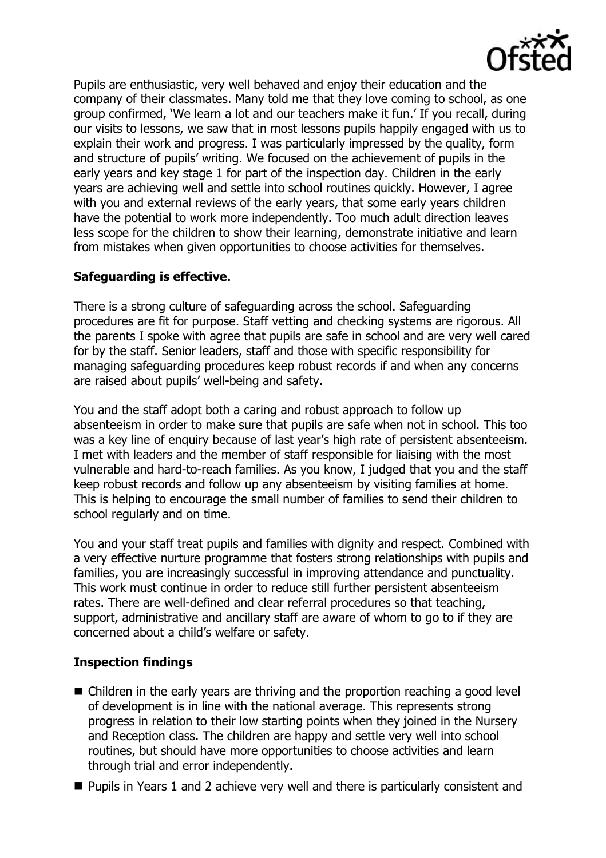

Pupils are enthusiastic, very well behaved and enjoy their education and the company of their classmates. Many told me that they love coming to school, as one group confirmed, 'We learn a lot and our teachers make it fun.' If you recall, during our visits to lessons, we saw that in most lessons pupils happily engaged with us to explain their work and progress. I was particularly impressed by the quality, form and structure of pupils' writing. We focused on the achievement of pupils in the early years and key stage 1 for part of the inspection day. Children in the early years are achieving well and settle into school routines quickly. However, I agree with you and external reviews of the early years, that some early years children have the potential to work more independently. Too much adult direction leaves less scope for the children to show their learning, demonstrate initiative and learn from mistakes when given opportunities to choose activities for themselves.

## **Safeguarding is effective.**

There is a strong culture of safeguarding across the school. Safeguarding procedures are fit for purpose. Staff vetting and checking systems are rigorous. All the parents I spoke with agree that pupils are safe in school and are very well cared for by the staff. Senior leaders, staff and those with specific responsibility for managing safeguarding procedures keep robust records if and when any concerns are raised about pupils' well-being and safety.

You and the staff adopt both a caring and robust approach to follow up absenteeism in order to make sure that pupils are safe when not in school. This too was a key line of enquiry because of last year's high rate of persistent absenteeism. I met with leaders and the member of staff responsible for liaising with the most vulnerable and hard-to-reach families. As you know, I judged that you and the staff keep robust records and follow up any absenteeism by visiting families at home. This is helping to encourage the small number of families to send their children to school regularly and on time.

You and your staff treat pupils and families with dignity and respect. Combined with a very effective nurture programme that fosters strong relationships with pupils and families, you are increasingly successful in improving attendance and punctuality. This work must continue in order to reduce still further persistent absenteeism rates. There are well-defined and clear referral procedures so that teaching, support, administrative and ancillary staff are aware of whom to go to if they are concerned about a child's welfare or safety.

# **Inspection findings**

- Children in the early years are thriving and the proportion reaching a good level of development is in line with the national average. This represents strong progress in relation to their low starting points when they joined in the Nursery and Reception class. The children are happy and settle very well into school routines, but should have more opportunities to choose activities and learn through trial and error independently.
- **Pupils in Years 1 and 2 achieve very well and there is particularly consistent and**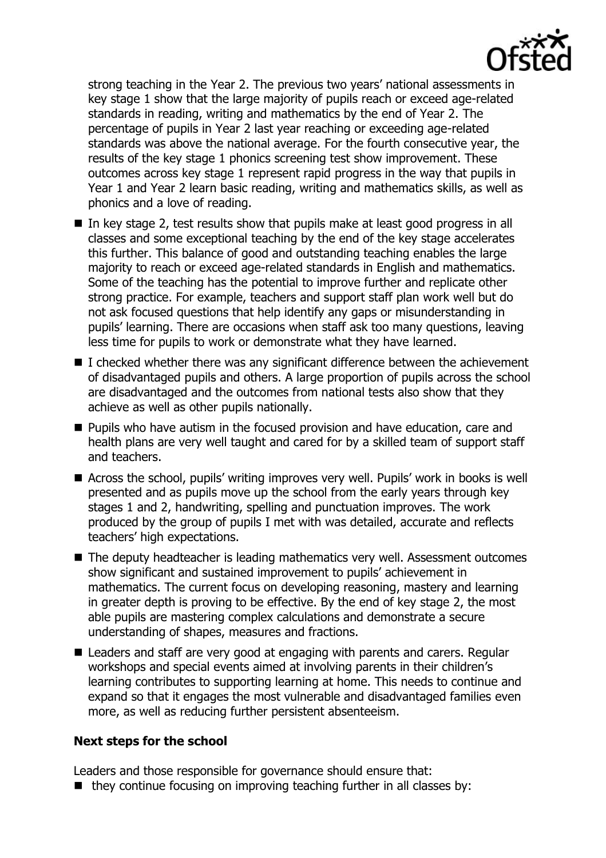

strong teaching in the Year 2. The previous two years' national assessments in key stage 1 show that the large majority of pupils reach or exceed age-related standards in reading, writing and mathematics by the end of Year 2. The percentage of pupils in Year 2 last year reaching or exceeding age-related standards was above the national average. For the fourth consecutive year, the results of the key stage 1 phonics screening test show improvement. These outcomes across key stage 1 represent rapid progress in the way that pupils in Year 1 and Year 2 learn basic reading, writing and mathematics skills, as well as phonics and a love of reading.

- In key stage 2, test results show that pupils make at least good progress in all classes and some exceptional teaching by the end of the key stage accelerates this further. This balance of good and outstanding teaching enables the large majority to reach or exceed age-related standards in English and mathematics. Some of the teaching has the potential to improve further and replicate other strong practice. For example, teachers and support staff plan work well but do not ask focused questions that help identify any gaps or misunderstanding in pupils' learning. There are occasions when staff ask too many questions, leaving less time for pupils to work or demonstrate what they have learned.
- $\blacksquare$  I checked whether there was any significant difference between the achievement of disadvantaged pupils and others. A large proportion of pupils across the school are disadvantaged and the outcomes from national tests also show that they achieve as well as other pupils nationally.
- **Pupils who have autism in the focused provision and have education, care and** health plans are very well taught and cared for by a skilled team of support staff and teachers.
- Across the school, pupils' writing improves very well. Pupils' work in books is well presented and as pupils move up the school from the early years through key stages 1 and 2, handwriting, spelling and punctuation improves. The work produced by the group of pupils I met with was detailed, accurate and reflects teachers' high expectations.
- The deputy headteacher is leading mathematics very well. Assessment outcomes show significant and sustained improvement to pupils' achievement in mathematics. The current focus on developing reasoning, mastery and learning in greater depth is proving to be effective. By the end of key stage 2, the most able pupils are mastering complex calculations and demonstrate a secure understanding of shapes, measures and fractions.
- Leaders and staff are very good at engaging with parents and carers. Regular workshops and special events aimed at involving parents in their children's learning contributes to supporting learning at home. This needs to continue and expand so that it engages the most vulnerable and disadvantaged families even more, as well as reducing further persistent absenteeism.

#### **Next steps for the school**

Leaders and those responsible for governance should ensure that:

 $\blacksquare$  they continue focusing on improving teaching further in all classes by: